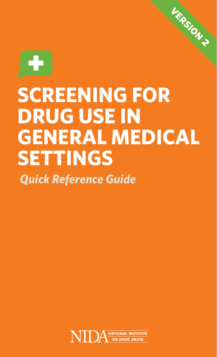

# **SCREENING FOR DRUG USE IN GENERAL MEDICAL SETTINGS**

**version 2**

*Quick Reference Guide*

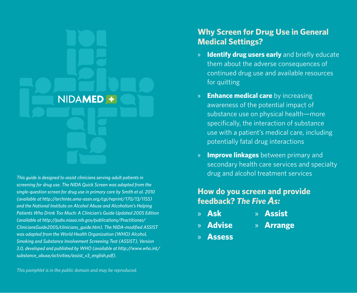

*This guide is designed to assist clinicians serving adult patients in screening for drug use. The NIDA Quick Screen was adapted from the single-question screen for drug use in primary care by Smith et al. 2010 (available at [http://archinte.ama-assn.org/cgi/reprint/170/13/1155\)](http://archinte.ama-assn.org/cgi/reprint/170/13/1155) and the National Institute on Alcohol Abuse and Alcoholism's Helping Patients Who Drink Too Much: A Clinician's Guide Updated 2005 Edition (available at [http://pubs.niaaa.nih.gov/publications/Practitioner/](http://pubs.niaaa.nih.gov/publications/Practitioner/CliniciansGuide2005/clinicians_guide.htm) [CliniciansGuide2005/clinicians\\_guide.htm](http://pubs.niaaa.nih.gov/publications/Practitioner/CliniciansGuide2005/clinicians_guide.htm)). The NIDA-modified ASSIST was adapted from the World Health Organization (WHO) Alcohol, Smoking and Substance Involvement Screening Test (ASSIST), Version 3.0, developed and published by WHO (available at [http://www.who.int/](http://www.who.int/substance_abuse/activities/assist_v3_english.pdf) [substance\\_abuse/activities/assist\\_v3\\_english.pdf\)](http://www.who.int/substance_abuse/activities/assist_v3_english.pdf).* 

### **Why Screen for Drug Use in General Medical Settings?**

- » **Identify drug users early** and briefly educate them about the adverse consequences of continued drug use and available resources for quitting
- » **Enhance medical care** by increasing awareness of the potential impact of substance use on physical health—more specifically, the interaction of substance use with a patient's medical care, including potentially fatal drug interactions
- » **Improve linkages** between primary and secondary health care services and specialty drug and alcohol treatment services

### **How do you screen and provide feedback?** *The Five As:*

- » **Ask** » **Assist**
- » **Advise** » **Arrange**
- » **Assess**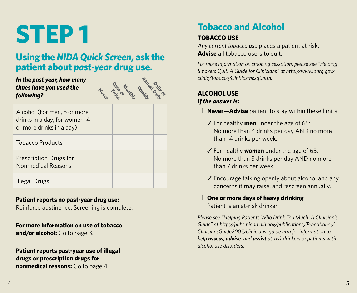# **STEP 1**

## **Using the** *NIDA Quick Screen***, ask the patient about** *past-year* **drug use.**

#### *In the past year, how many times have you used the following?*



| Alcohol (For men, 5 or more<br>drinks in a day; for women, 4<br>or more drinks in a day) |  |  |  |
|------------------------------------------------------------------------------------------|--|--|--|
| <b>Tobacco Products</b>                                                                  |  |  |  |
| Prescription Drugs for<br>Nonmedical Reasons                                             |  |  |  |
| Illegal Drugs                                                                            |  |  |  |

#### **Patient reports no past-year drug use:**

Reinforce abstinence. Screening is complete.

**For more information on use of tobacco and/or alcohol:** Go to page 3.

#### **Patient reports past-year use of illegal drugs or prescription drugs for nonmedical reasons:** Go to page 4.

# **Tobacco and Alcohol**

### **TOBACCO USE**

*Any current tobacco use* places a patient at risk. **Advise** all tobacco users to quit.

*For more information on smoking cessation, please see "Helping Smokers Quit: A Guide for Clinicians" at [http://www.ahrq.gov/](http://www.ahrq.gov/clinic/tobacco/clinhlpsmksqt.htm) [clinic/tobacco/clinhlpsmksqt.htm.](http://www.ahrq.gov/clinic/tobacco/clinhlpsmksqt.htm)* 

### **ALCOHOL USE**

### *If the answer is:*

- $\Box$  **Never-Advise** patient to stay within these limits:
	- ✓ For healthy **men** under the age of 65: No more than 4 drinks per day AND no more than 14 drinks per week.
	- ✓ For healthy **women** under the age of 65: No more than 3 drinks per day AND no more than 7 drinks per week.
	- ✓ Encourage talking openly about alcohol and any concerns it may raise, and rescreen annually.

#### $\Box$  One or more days of heavy drinking Patient is an at-risk drinker.

*Please see "Helping Patients Who Drink Too Much: A Clinician's Guide" at [http://pubs.niaaa.nih.gov/publications/Practitioner/](http://pubs.niaaa.nih.gov/publications/Practitioner/CliniciansGuide2005/clinicians_guide.htm) [CliniciansGuide2005/clinicians\\_guide.htm](http://pubs.niaaa.nih.gov/publications/Practitioner/CliniciansGuide2005/clinicians_guide.htm) for information to help assess, advise, and assist at-risk drinkers or patients with alcohol use disorders.*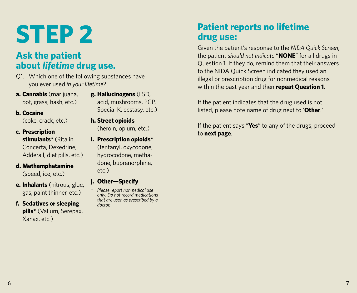# **STEP 2**

## **Ask the patient about** *lifetime* **drug use.**

- Q1. Which one of the following substances have you ever used *in your lifetime?*
- **a. Cannabis** (marijuana, pot, grass, hash, etc.)
- **g. Hallucinogens** (LSD, acid, mushrooms, PCP, Special K, ecstasy, etc.)

**b. Cocaine**

(coke, crack, etc.)

- **c. Prescription stimulants\*** (Ritalin, Concerta, Dexedrine, Adderall, diet pills, etc.)
- **d. Methamphetamine**  (speed, ice, etc.)
- **e. Inhalants** (nitrous, glue, gas, paint thinner, etc.)
- **f. Sedatives or sleeping pills\*** (Valium, Serepax, Xanax, etc.)

(heroin, opium, etc.) **i. Prescription opioids\*** (fentanyl, oxycodone,

**h. Street opioids**

hydrocodone, methadone, buprenorphine, etc.)

- **j. Other—Specify**
- *\* Please report nonmedical use only: Do not record medications that are used as prescribed by a doctor.*

## **Patient reports no lifetime drug use:**

Given the patient's response to the *NIDA Quick Screen*, the patient *should not indicate* "**NONE**" for all drugs in Question 1. If they do, remind them that their answers to the NIDA Quick Screen indicated they used an illegal or prescription drug for nonmedical reasons within the past year and then **repeat Question 1**.

If the patient indicates that the drug used is not listed, please note name of drug next to '**Other**.'

If the patient says "**Yes**" to any of the drugs, proceed to **next page**.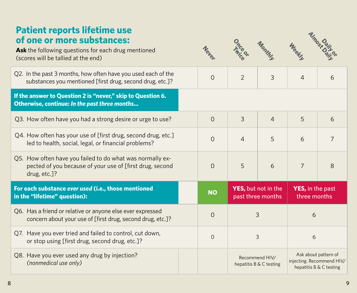## **Patient reports lifetime use of one or more substances:**

**Ask** the following questions for each drug mentioned (scores will be tallied at the end)

| Q2. In the past 3 months, how often have you used each of the<br>substances you mentioned [first drug, second drug, etc.]?            | $\Omega$  | $\mathcal{P}$                                    | 3              | $\Delta$                                                                     | 6              |
|---------------------------------------------------------------------------------------------------------------------------------------|-----------|--------------------------------------------------|----------------|------------------------------------------------------------------------------|----------------|
| If the answer to Question 2 is "never," skip to Question 6.<br>Otherwise, continue: In the past three months                          |           |                                                  |                |                                                                              |                |
| Q3. How often have you had a strong desire or urge to use?                                                                            | $\Omega$  | 3                                                | $\overline{4}$ | 5                                                                            | 6              |
| Q4. How often has your use of [first drug, second drug, etc.]<br>led to health, social, legal, or financial problems?                 | $\Omega$  | $\overline{4}$                                   | 5              | 6                                                                            | $\overline{7}$ |
| Q5. How often have you failed to do what was normally ex-<br>pected of you because of your use of [first drug, second<br>drug, etc.]? | $\Omega$  | 5                                                | 6              | $\overline{7}$                                                               | 8              |
| For each substance ever used (i.e., those mentioned<br>in the "lifetime" question):                                                   | <b>NO</b> | <b>YES</b> , but not in the<br>past three months |                | <b>YES, in the past</b><br>three months                                      |                |
| Q6. Has a friend or relative or anyone else ever expressed<br>concern about your use of [first drug, second drug, etc.]?              | $\Omega$  | 3                                                |                | 6                                                                            |                |
| Q7. Have you ever tried and failed to control, cut down,<br>or stop using [first drug, second drug, etc.]?                            | $\Omega$  | 3                                                |                | 6                                                                            |                |
| Q8. Have you ever used any drug by injection?<br>(nonmedical use only)                                                                |           | Recommend HIV/<br>hepatitis B & C testing        |                | Ask about pattern of<br>injecting. Recommend HIV/<br>hepatitis B & C testing |                |

**Never**

Once or

**Monthly**

**Meeting Almost Daily or**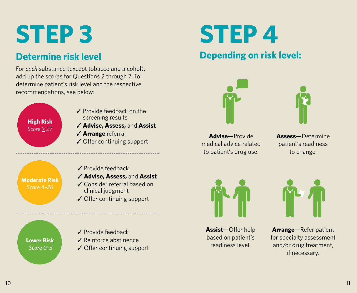# **STEP 3**

## **Determine risk level**

For *each* substance (except tobacco and alcohol), add up the scores for Questions 2 through 7. To determine patient's risk level and the respective recommendations, see below:

- **High Risk**  *Score > 27*
- ✓ Provide feedback on the screening results
- ✓ **Advise, Assess,** and **Assist**
- ✓ **Arrange** referral
- ✓ Offer continuing support

### **Moderate Risk**  *Score 4–26*

- ✓ Provide feedback
- ✓ **Advise, Assess,** and **Assist**
- ✓ Consider referral based on clinical judgment
- ✓ Offer continuing support

**Lower Risk**  *Score 0–3*

- ✓ Provide feedback
- ✓ Reinforce abstinence
- ✓ Offer continuing support

# **STEP 4**

# **Depending on risk level:**





**Advise**—Provide medical advice related to patient's drug use.

**Assess**—Determine patient's readiness to change.



**Assist**—Offer help based on patient's readiness level.



**Arrange**—Refer patient for specialty assessment and/or drug treatment, if necessary.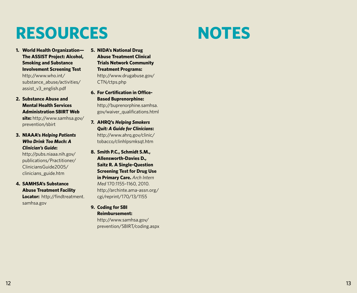# **RESOURCES**

- **1. World Health Organization— The ASSIST Project: Alcohol, Smoking and Substance Involvement Screening Test** [http://www.who.int/](http://www.who.int/substance_abuse/activities/assist_v3_english.pdf) [substance\\_abuse/activities/](http://www.who.int/substance_abuse/activities/assist_v3_english.pdf) [assist\\_v3\\_english.pdf](http://www.who.int/substance_abuse/activities/assist_v3_english.pdf)
- **2. Substance Abuse and Mental Health Services Administration SBIRT Web site:** [http://www.samhsa.gov/](http://www.samhsa.gov/prevention/sbirt) [prevention/sbirt](http://www.samhsa.gov/prevention/sbirt)
- **3. NIAAA's** *Helping Patients Who Drink Too Much: A Clinician's Guide***:**

[http://pubs.niaaa.nih.gov/](http://pubs.niaaa.nih.gov/publications/Practitioner/CliniciansGuide2005/clinicians_guide.htm) [publications/Practitioner/](http://pubs.niaaa.nih.gov/publications/Practitioner/CliniciansGuide2005/clinicians_guide.htm) [CliniciansGuide2005/](http://pubs.niaaa.nih.gov/publications/Practitioner/CliniciansGuide2005/clinicians_guide.htm) [clinicians\\_guide.htm](http://pubs.niaaa.nih.gov/publications/Practitioner/CliniciansGuide2005/clinicians_guide.htm)

**4. SAMHSA's Substance Abuse Treatment Facility Locator:** [http://findtreatment.](http://findtreatment.samhsa.gov) [samhsa.gov](http://findtreatment.samhsa.gov)

- **5. NIDA's National Drug Abuse Treatment Clinical Trials Network Community Treatment Programs:**  [http://www.drugabuse.gov/](http://www.drugabuse.gov/CTN/ctps.php) [CTN/ctps.php](http://www.drugabuse.gov/CTN/ctps.php)
- **6. For Certification in Office-Based Buprenorphine:** [http://buprenorphine.samhsa.](http://buprenorphine.samhsa.gov/waiver_qualifications.html) [gov/waiver\\_qualifications.html](http://buprenorphine.samhsa.gov/waiver_qualifications.html)
- **7. AHRQ's** *Helping Smokers Quit: A Guide for Clinicians***:**  [http://www.ahrq.gov/clinic/](http://www.ahrq.gov/clinic/tobacco/clinhlpsmksqt.htm) [tobacco/clinhlpsmksqt.htm](http://www.ahrq.gov/clinic/tobacco/clinhlpsmksqt.htm)
- **8. Smith P.C., Schmidt S.M., Allensworth-Davies D., Saitz R. A Single-Question Screening Test for Drug Use in Primary Care.** *Arch Intern Med* 170:1155–1160, 2010. [http://archinte.ama-assn.org/](http://archinte.ama-assn.org/cgi/reprint/170/13/1155) [cgi/reprint/170/13/1155](http://archinte.ama-assn.org/cgi/reprint/170/13/1155)
- **9. Coding for SBI Reimbursement:** [http://www.samhsa.gov/](http://www.samhsa.gov/prevention/SBIRT/coding.aspx) [prevention/SBIRT/coding.aspx](http://www.samhsa.gov/prevention/SBIRT/coding.aspx)

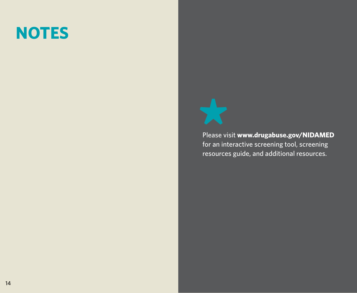# **NOTES**



Please visit **[www.drugabuse.gov/NIDAMED](http://www.drugabuse.gov/NIDAMED)** for an interactive screening tool, screening resources guide, and additional resources.